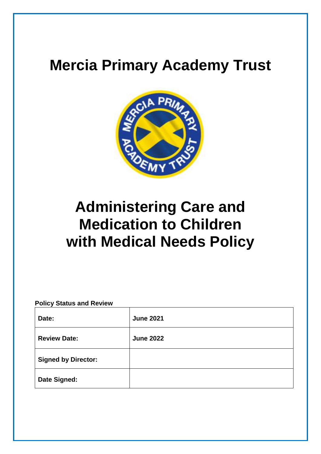# **Mercia Primary Academy Trust**



# **Administering Care and Medication to Children with Medical Needs Policy**

# **Policy Status and Review**

| Date:                      | <b>June 2021</b> |
|----------------------------|------------------|
| <b>Review Date:</b>        | <b>June 2022</b> |
| <b>Signed by Director:</b> |                  |
| <b>Date Signed:</b>        |                  |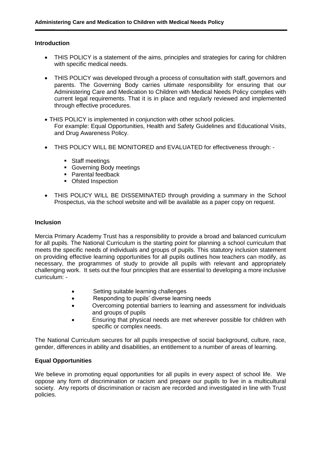# **Introduction**

- THIS POLICY is a statement of the aims, principles and strategies for caring for children with specific medical needs.
- THIS POLICY was developed through a process of consultation with staff, governors and parents. The Governing Body carries ultimate responsibility for ensuring that our Administering Care and Medication to Children with Medical Needs Policy complies with current legal requirements. That it is in place and regularly reviewed and implemented through effective procedures.
- THIS POLICY is implemented in conjunction with other school policies. For example: Equal Opportunities, Health and Safety Guidelines and Educational Visits, and Drug Awareness Policy.
- THIS POLICY WILL BE MONITORED and EVALUATED for effectiveness through:
	- Staff meetings
	- Governing Body meetings
	- Parental feedback
	- Ofsted Inspection
- THIS POLICY WILL BE DISSEMINATED through providing a summary in the School Prospectus, via the school website and will be available as a paper copy on request.

# **Inclusion**

Mercia Primary Academy Trust has a responsibility to provide a broad and balanced curriculum for all pupils. The National Curriculum is the starting point for planning a school curriculum that meets the specific needs of individuals and groups of pupils. This statutory inclusion statement on providing effective learning opportunities for all pupils outlines how teachers can modify, as necessary, the programmes of study to provide all pupils with relevant and appropriately challenging work. It sets out the four principles that are essential to developing a more inclusive curriculum: -

- Setting suitable learning challenges
- Responding to pupils' diverse learning needs
- Overcoming potential barriers to learning and assessment for individuals and groups of pupils
- Ensuring that physical needs are met wherever possible for children with specific or complex needs.

The National Curriculum secures for all pupils irrespective of social background, culture, race, gender, differences in ability and disabilities, an entitlement to a number of areas of learning.

# **Equal Opportunities**

We believe in promoting equal opportunities for all pupils in every aspect of school life. We oppose any form of discrimination or racism and prepare our pupils to live in a multicultural society. Any reports of discrimination or racism are recorded and investigated in line with Trust policies.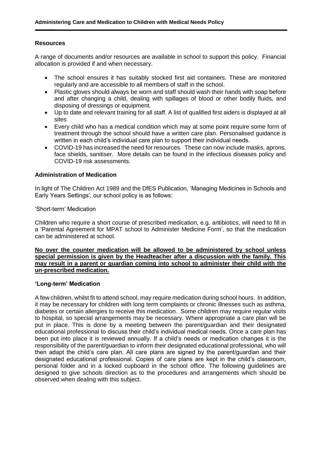# **Resources**

A range of documents and/or resources are available in school to support this policy. Financial allocation is provided if and when necessary.

- The school ensures it has suitably stocked first aid containers. These are monitored regularly and are accessible to all members of staff in the school.
- Plastic gloves should always be worn and staff should wash their hands with soap before and after changing a child, dealing with spillages of blood or other bodily fluids, and disposing of dressings or equipment.
- Up to date and relevant training for all staff. A list of qualified first aiders is displayed at all sites
- Every child who has a medical condition which may at some point require some form of treatment through the school should have a written care plan. Personalised guidance is written in each child's individual care plan to support their individual needs.
- COVID-19 has increased the need for resources. These can now include masks, aprons, face shields, sanitiser. More details can be found in the infectious diseases policy and COVID-19 risk assessments.

# **Administration of Medication**

In light of The Children Act 1989 and the DfES Publication, 'Managing Medicines in Schools and Early Years Settings', our school policy is as follows:

#### 'Short-term' Medication

Children who require a short course of prescribed medication, e.g. antibiotics, will need to fill in a 'Parental Agreement for MPAT school to Administer Medicine Form', so that the medication can be administered at school.

## **No over the counter medication will be allowed to be administered by school unless special permission is given by the Headteacher after a discussion with the family. This may result in a parent or guardian coming into school to administer their child with the un-prescribed medication.**

#### **'Long-term' Medication**

A few children, whilst fit to attend school, may require medication during school hours. In addition, it may be necessary for children with long term complaints or chronic illnesses such as asthma, diabetes or certain allergies to receive this medication. Some children may require regular visits to hospital, so special arrangements may be necessary. Where appropriate a care plan will be put in place. This is done by a meeting between the parent/guardian and their designated educational professional to discuss their child's individual medical needs. Once a care plan has been put into place it is reviewed annually. If a child's needs or medication changes it is the responsibility of the parent/guardian to inform their designated educational professional, who will then adapt the child's care plan. All care plans are signed by the parent/guardian and their designated educational professional. Copies of care plans are kept in the child's classroom, personal folder and in a locked cupboard in the school office. The following guidelines are designed to give schools direction as to the procedures and arrangements which should be observed when dealing with this subject.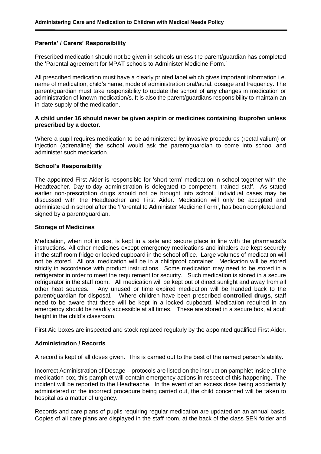# **Parents' / Carers' Responsibility**

Prescribed medication should not be given in schools unless the parent/guardian has completed the 'Parental agreement for MPAT schools to Administer Medicine Form.'

All prescribed medication must have a clearly printed label which gives important information i.e. name of medication, child's name, mode of administration oral/aural, dosage and frequency. The parent/guardian must take responsibility to update the school of **any** changes in medication or administration of known medication/s. It is also the parent/guardians responsibility to maintain an in-date supply of the medication.

## **A child under 16 should never be given aspirin or medicines containing ibuprofen unless prescribed by a doctor.**

Where a pupil requires medication to be administered by invasive procedures (rectal valium) or injection (adrenaline) the school would ask the parent/guardian to come into school and administer such medication.

#### **School's Responsibility**

The appointed First Aider is responsible for 'short term' medication in school together with the Headteacher. Day-to-day administration is delegated to competent, trained staff. As stated earlier non-prescription drugs should not be brought into school. Individual cases may be discussed with the Headteacher and First Aider. Medication will only be accepted and administered in school after the 'Parental to Administer Medicine Form', has been completed and signed by a parent/guardian.

#### **Storage of Medicines**

Medication, when not in use, is kept in a safe and secure place in line with the pharmacist's instructions. All other medicines except emergency medications and inhalers are kept securely in the staff room fridge or locked cupboard in the school office. Large volumes of medication will not be stored. All oral medication will be in a childproof container. Medication will be stored strictly in accordance with product instructions. Some medication may need to be stored in a refrigerator in order to meet the requirement for security. Such medication is stored in a secure refrigerator in the staff room. All medication will be kept out of direct sunlight and away from all other heat sources. Any unused or time expired medication will be handed back to the parent/guardian for disposal. Where children have been prescribed **controlled drugs**, staff need to be aware that these will be kept in a locked cupboard. Medication required in an emergency should be readily accessible at all times. These are stored in a secure box, at adult height in the child's classroom.

First Aid boxes are inspected and stock replaced regularly by the appointed qualified First Aider.

#### **Administration / Records**

A record is kept of all doses given. This is carried out to the best of the named person's ability.

Incorrect Administration of Dosage – protocols are listed on the instruction pamphlet inside of the medication box, this pamphlet will contain emergency actions in respect of this happening. The incident will be reported to the Headteache. In the event of an excess dose being accidentally administered or the incorrect procedure being carried out, the child concerned will be taken to hospital as a matter of urgency.

Records and care plans of pupils requiring regular medication are updated on an annual basis. Copies of all care plans are displayed in the staff room, at the back of the class SEN folder and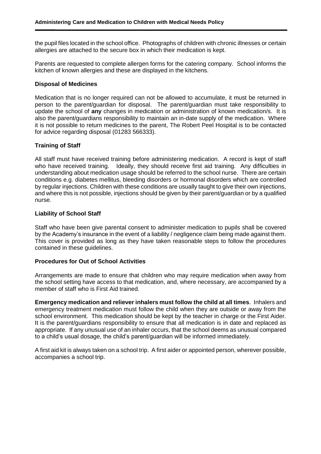the pupil files located in the school office. Photographs of children with chronic illnesses or certain allergies are attached to the secure box in which their medication is kept.

Parents are requested to complete allergen forms for the catering company. School informs the kitchen of known allergies and these are displayed in the kitchens.

## **Disposal of Medicines**

Medication that is no longer required can not be allowed to accumulate, it must be returned in person to the parent/guardian for disposal. The parent/guardian must take responsibility to update the school of **any** changes in medication or administration of known medication/s. It is also the parent/guardians responsibility to maintain an in-date supply of the medication. Where it is not possible to return medicines to the parent, The Robert Peel Hospital is to be contacted for advice regarding disposal (01283 566333).

# **Training of Staff**

All staff must have received training before administering medication. A record is kept of staff who have received training. Ideally, they should receive first aid training. Any difficulties in understanding about medication usage should be referred to the school nurse. There are certain conditions e.g. diabetes mellitus, bleeding disorders or hormonal disorders which are controlled by regular injections. Children with these conditions are usually taught to give their own injections, and where this is not possible, injections should be given by their parent/guardian or by a qualified nurse.

# **Liability of School Staff**

Staff who have been give parental consent to administer medication to pupils shall be covered by the Academy's insurance in the event of a liability / negligence claim being made against them. This cover is provided as long as they have taken reasonable steps to follow the procedures contained in these guidelines.

#### **Procedures for Out of School Activities**

Arrangements are made to ensure that children who may require medication when away from the school setting have access to that medication, and, where necessary, are accompanied by a member of staff who is First Aid trained.

**Emergency medication and reliever inhalers must follow the child at all times**. Inhalers and emergency treatment medication must follow the child when they are outside or away from the school environment. This medication should be kept by the teacher in charge or the First Aider. It is the parent/guardians responsibility to ensure that all medication is in date and replaced as appropriate. If any unusual use of an inhaler occurs, that the school deems as unusual compared to a child's usual dosage, the child's parent/guardian will be informed immediately.

A first aid kit is always taken on a school trip. A first aider or appointed person, wherever possible, accompanies a school trip.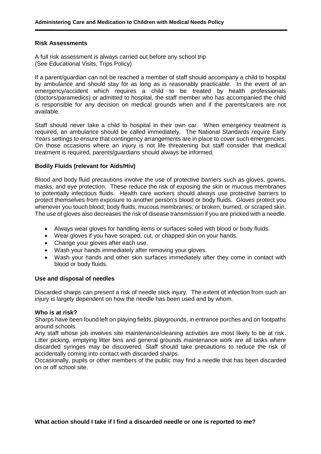#### **Risk Assessments**

A full risk assessment is always carried out before any school trip (See Educational Visits, Trips Policy)

If a parent/guardian can not be reached a member of staff should accompany a child to hospital by ambulance and should stay for as long as is reasonably practicable. In the event of an emergency/accident which requires a child to be treated by health professionals (doctors/paramedics) or admitted to hospital, the staff member who has accompanied the child is responsible for any decision on medical grounds when and if the parents/carers are not available.

Staff should never take a child to hospital in their own car. When emergency treatment is required, an ambulance should be called immediately. The National Standards require Early Years settings to ensure that contingency arrangements are in place to cover such emergencies. On those occasions where an injury is not life threatening but staff consider that medical treatment is required, parents/guardians should always be informed.

#### **Bodily Fluids (relevant for Aids/Hiv)**

Blood and body fluid precautions involve the use of protective barriers such as gloves, gowns, masks, and eye protection. These reduce the risk of exposing the skin or mucous membranes to potentially infectious fluids. Health care workers should always use protective barriers to protect themselves from exposure to another person's blood or body fluids. Gloves protect you whenever you touch blood; body fluids; [mucous membranes;](http://www.webmd.com/hw-popup/mucous-membranes) or broken, burned, or scraped skin. The use of gloves also decreases the risk of disease transmission if you are pricked with a needle.

- Always wear gloves for handling items or surfaces soiled with blood or body fluids.
- Wear gloves if you have scraped, cut, or chapped skin on your hands.
- Change your gloves after each use.
- [Wash your hands](http://www.webmd.com/hw-popup/hand-washing) immediately after removing your gloves.
- Wash your hands and other skin surfaces immediately after they come in contact with blood or body fluids.

#### **Use and disposal of needles**

Discarded sharps can present a risk of needle stick injury. The extent of infection from such an injury is largely dependent on how the needle has been used and by whom.

#### **Who is at risk?**

Sharps have been found left on playing fields, playgrounds, in entrance porches and on footpaths around schools.

Any staff whose job involves site maintenance/cleaning activities are most likely to be at risk. Litter picking, emptying litter bins and general grounds maintenance work are all tasks where discarded syringes may be discovered. Staff should take precautions to reduce the risk of accidentally coming into contact with discarded sharps.

Occasionally, pupils or other members of the public may find a needle that has been discarded on or off school site.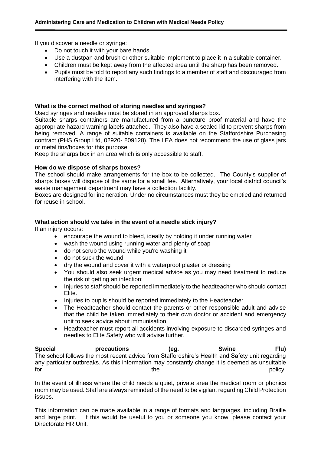If you discover a needle or syringe:

- Do not touch it with your bare hands,
- Use a dustpan and brush or other suitable implement to place it in a suitable container.
- Children must be kept away from the affected area until the sharp has been removed.
- Pupils must be told to report any such findings to a member of staff and discouraged from interfering with the item.

# **What is the correct method of storing needles and syringes?**

Used syringes and needles must be stored in an approved sharps box.

Suitable sharps containers are manufactured from a puncture proof material and have the appropriate hazard warning labels attached. They also have a sealed lid to prevent sharps from being removed. A range of suitable containers is available on the Staffordshire Purchasing contract (PHS Group Ltd, 02920- 809128). The LEA does not recommend the use of glass jars or metal tins/boxes for this purpose.

Keep the sharps box in an area which is only accessible to staff.

# **How do we dispose of sharps boxes?**

The school should make arrangements for the box to be collected. The County's supplier of sharps boxes will dispose of the same for a small fee. Alternatively, your local district council's waste management department may have a collection facility.

Boxes are designed for incineration. Under no circumstances must they be emptied and returned for reuse in school.

# **What action should we take in the event of a needle stick injury?**

If an injury occurs:

- encourage the wound to bleed, ideally by holding it under running water
- wash the wound using running water and plenty of soap
- do not scrub the wound while you're washing it
- do not suck the wound
- dry the wound and cover it with a waterproof plaster or dressing
- You should also seek urgent medical advice as you may need treatment to reduce the risk of getting an infection:
- Injuries to staff should be reported immediately to the headteacher who should contact Elite.
- Injuries to pupils should be reported immediately to the Headteacher.
- The Headteacher should contact the parents or other responsible adult and advise that the child be taken immediately to their own doctor or accident and emergency unit to seek advice about immunisation.
- Headteacher must report all accidents involving exposure to discarded syringes and needles to Elite Safety who will advise further.

**Special precautions (eg. Swine Flu)** The school follows the most recent advice from Staffordshire's Health and Safety unit regarding any particular outbreaks. As this information may constantly change it is deemed as unsuitable for the the policy.

In the event of illness where the child needs a quiet, private area the medical room or phonics room may be used. Staff are always reminded of the need to be vigilant regarding Child Protection issues.

This information can be made available in a range of formats and languages, including Braille and large print. If this would be useful to you or someone you know, please contact your Directorate HR Unit.